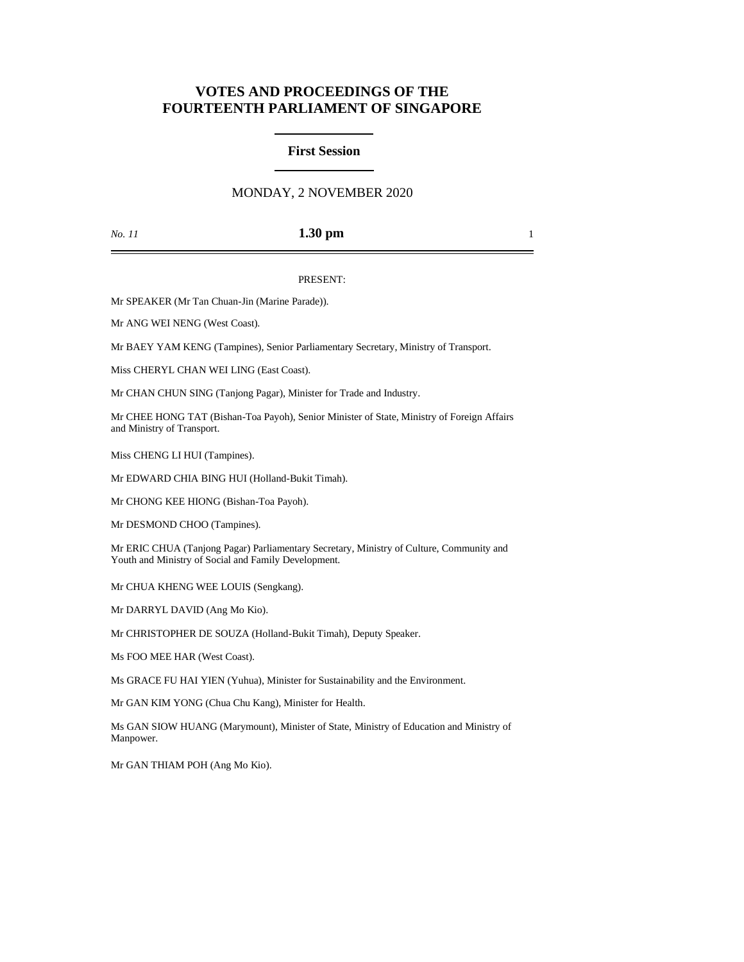# **VOTES AND PROCEEDINGS OF THE FOURTEENTH PARLIAMENT OF SINGAPORE**

## **First Session**

## MONDAY, 2 NOVEMBER 2020

#### *No. 11* **1.30 pm** 1

#### PRESENT:

Mr SPEAKER (Mr Tan Chuan-Jin (Marine Parade)).

Mr ANG WEI NENG (West Coast).

Mr BAEY YAM KENG (Tampines), Senior Parliamentary Secretary, Ministry of Transport.

Miss CHERYL CHAN WEI LING (East Coast).

Mr CHAN CHUN SING (Tanjong Pagar), Minister for Trade and Industry.

Mr CHEE HONG TAT (Bishan-Toa Payoh), Senior Minister of State, Ministry of Foreign Affairs and Ministry of Transport.

Miss CHENG LI HUI (Tampines).

Mr EDWARD CHIA BING HUI (Holland-Bukit Timah).

Mr CHONG KEE HIONG (Bishan-Toa Payoh).

Mr DESMOND CHOO (Tampines).

Mr ERIC CHUA (Tanjong Pagar) Parliamentary Secretary, Ministry of Culture, Community and Youth and Ministry of Social and Family Development.

Mr CHUA KHENG WEE LOUIS (Sengkang).

Mr DARRYL DAVID (Ang Mo Kio).

Mr CHRISTOPHER DE SOUZA (Holland-Bukit Timah), Deputy Speaker.

Ms FOO MEE HAR (West Coast).

Ms GRACE FU HAI YIEN (Yuhua), Minister for Sustainability and the Environment.

Mr GAN KIM YONG (Chua Chu Kang), Minister for Health.

Ms GAN SIOW HUANG (Marymount), Minister of State, Ministry of Education and Ministry of Manpower.

Mr GAN THIAM POH (Ang Mo Kio).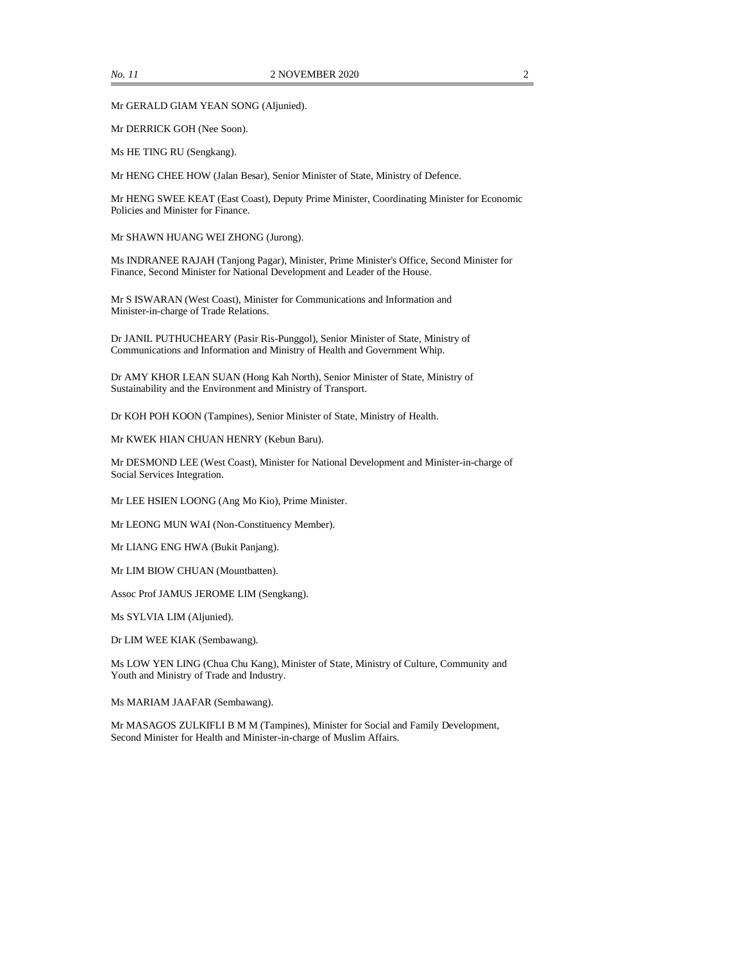Mr GERALD GIAM YEAN SONG (Aljunied).

Mr DERRICK GOH (Nee Soon).

Ms HE TING RU (Sengkang).

Mr HENG CHEE HOW (Jalan Besar), Senior Minister of State, Ministry of Defence.

Mr HENG SWEE KEAT (East Coast), Deputy Prime Minister, Coordinating Minister for Economic Policies and Minister for Finance.

Mr SHAWN HUANG WEI ZHONG (Jurong).

Ms INDRANEE RAJAH (Tanjong Pagar), Minister, Prime Minister's Office, Second Minister for Finance, Second Minister for National Development and Leader of the House.

Mr S ISWARAN (West Coast), Minister for Communications and Information and Minister-in-charge of Trade Relations.

Dr JANIL PUTHUCHEARY (Pasir Ris-Punggol), Senior Minister of State, Ministry of Communications and Information and Ministry of Health and Government Whip.

Dr AMY KHOR LEAN SUAN (Hong Kah North), Senior Minister of State, Ministry of Sustainability and the Environment and Ministry of Transport.

Dr KOH POH KOON (Tampines), Senior Minister of State, Ministry of Health.

Mr KWEK HIAN CHUAN HENRY (Kebun Baru).

Mr DESMOND LEE (West Coast), Minister for National Development and Minister-in-charge of Social Services Integration.

Mr LEE HSIEN LOONG (Ang Mo Kio), Prime Minister.

Mr LEONG MUN WAI (Non-Constituency Member).

Mr LIANG ENG HWA (Bukit Panjang).

Mr LIM BIOW CHUAN (Mountbatten).

Assoc Prof JAMUS JEROME LIM (Sengkang).

Ms SYLVIA LIM (Aljunied).

Dr LIM WEE KIAK (Sembawang).

Ms LOW YEN LING (Chua Chu Kang), Minister of State, Ministry of Culture, Community and Youth and Ministry of Trade and Industry.

Ms MARIAM JAAFAR (Sembawang).

Mr MASAGOS ZULKIFLI B M M (Tampines), Minister for Social and Family Development, Second Minister for Health and Minister-in-charge of Muslim Affairs.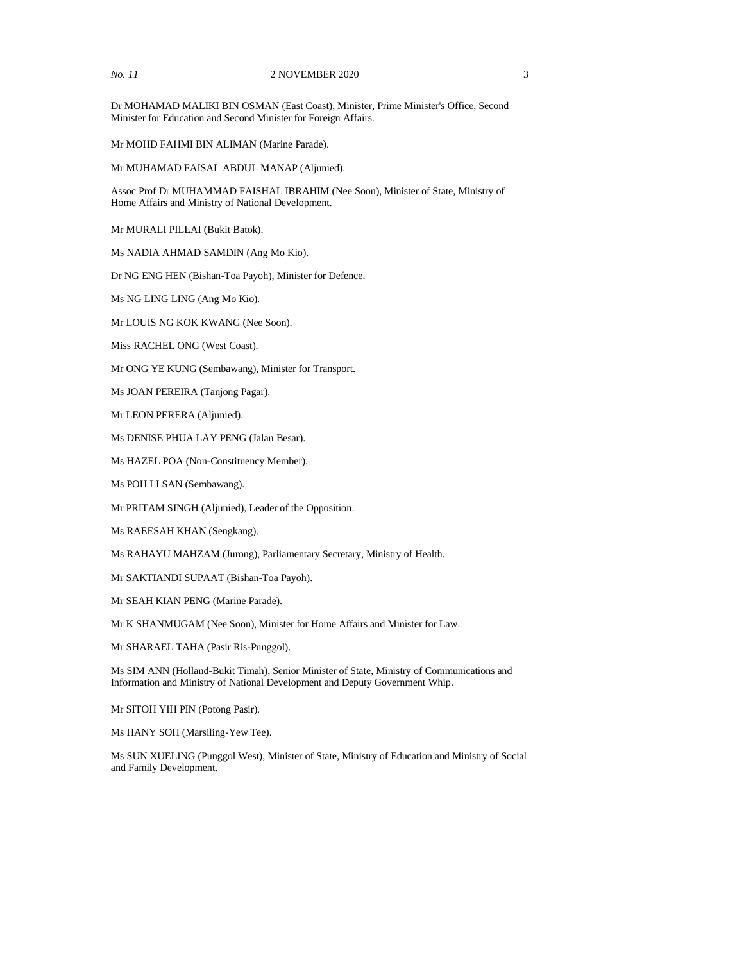Dr MOHAMAD MALIKI BIN OSMAN (East Coast), Minister, Prime Minister's Office, Second Minister for Education and Second Minister for Foreign Affairs.

Mr MOHD FAHMI BIN ALIMAN (Marine Parade).

Mr MUHAMAD FAISAL ABDUL MANAP (Aljunied).

Assoc Prof Dr MUHAMMAD FAISHAL IBRAHIM (Nee Soon), Minister of State, Ministry of Home Affairs and Ministry of National Development.

Mr MURALI PILLAI (Bukit Batok).

Ms NADIA AHMAD SAMDIN (Ang Mo Kio).

Dr NG ENG HEN (Bishan-Toa Payoh), Minister for Defence.

Ms NG LING LING (Ang Mo Kio).

Mr LOUIS NG KOK KWANG (Nee Soon).

Miss RACHEL ONG (West Coast).

Mr ONG YE KUNG (Sembawang), Minister for Transport.

Ms JOAN PEREIRA (Tanjong Pagar).

Mr LEON PERERA (Aljunied).

Ms DENISE PHUA LAY PENG (Jalan Besar).

Ms HAZEL POA (Non-Constituency Member).

Ms POH LI SAN (Sembawang).

Mr PRITAM SINGH (Aljunied), Leader of the Opposition.

Ms RAEESAH KHAN (Sengkang).

Ms RAHAYU MAHZAM (Jurong), Parliamentary Secretary, Ministry of Health.

Mr SAKTIANDI SUPAAT (Bishan-Toa Payoh).

Mr SEAH KIAN PENG (Marine Parade).

Mr K SHANMUGAM (Nee Soon), Minister for Home Affairs and Minister for Law.

Mr SHARAEL TAHA (Pasir Ris-Punggol).

Ms SIM ANN (Holland-Bukit Timah), Senior Minister of State, Ministry of Communications and Information and Ministry of National Development and Deputy Government Whip.

Mr SITOH YIH PIN (Potong Pasir).

Ms HANY SOH (Marsiling-Yew Tee).

Ms SUN XUELING (Punggol West), Minister of State, Ministry of Education and Ministry of Social and Family Development.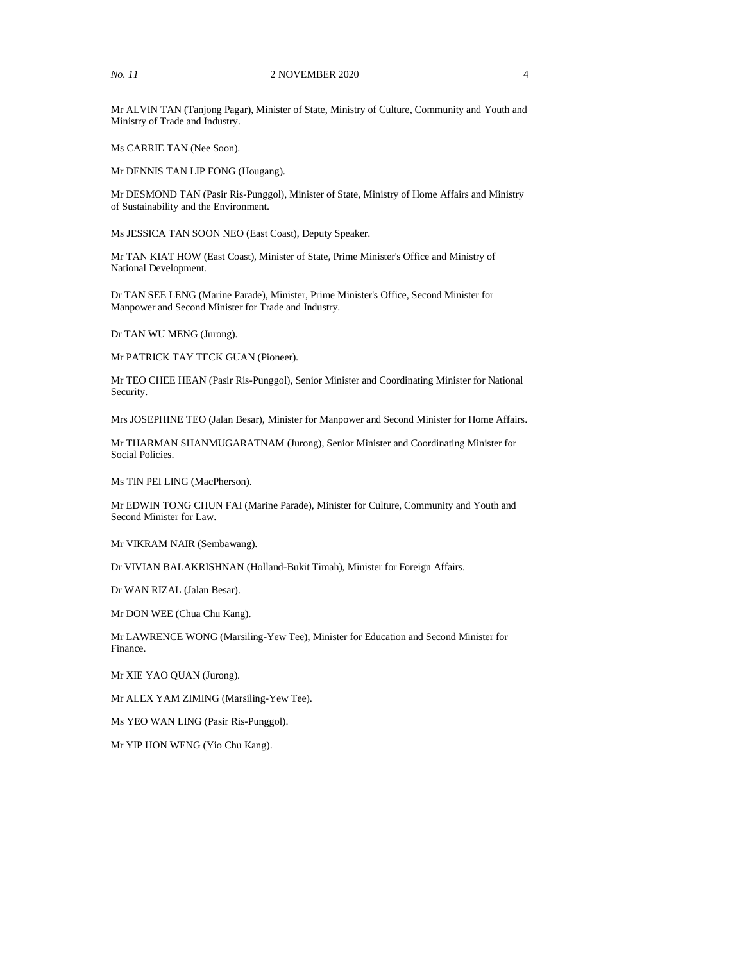Mr ALVIN TAN (Tanjong Pagar), Minister of State, Ministry of Culture, Community and Youth and Ministry of Trade and Industry.

Ms CARRIE TAN (Nee Soon).

Mr DENNIS TAN LIP FONG (Hougang).

Mr DESMOND TAN (Pasir Ris-Punggol), Minister of State, Ministry of Home Affairs and Ministry of Sustainability and the Environment.

Ms JESSICA TAN SOON NEO (East Coast), Deputy Speaker.

Mr TAN KIAT HOW (East Coast), Minister of State, Prime Minister's Office and Ministry of National Development.

Dr TAN SEE LENG (Marine Parade), Minister, Prime Minister's Office, Second Minister for Manpower and Second Minister for Trade and Industry.

Dr TAN WU MENG (Jurong).

Mr PATRICK TAY TECK GUAN (Pioneer).

Mr TEO CHEE HEAN (Pasir Ris-Punggol), Senior Minister and Coordinating Minister for National Security.

Mrs JOSEPHINE TEO (Jalan Besar), Minister for Manpower and Second Minister for Home Affairs.

Mr THARMAN SHANMUGARATNAM (Jurong), Senior Minister and Coordinating Minister for Social Policies.

Ms TIN PEI LING (MacPherson).

Mr EDWIN TONG CHUN FAI (Marine Parade), Minister for Culture, Community and Youth and Second Minister for Law.

Mr VIKRAM NAIR (Sembawang).

Dr VIVIAN BALAKRISHNAN (Holland-Bukit Timah), Minister for Foreign Affairs.

Dr WAN RIZAL (Jalan Besar).

Mr DON WEE (Chua Chu Kang).

Mr LAWRENCE WONG (Marsiling-Yew Tee), Minister for Education and Second Minister for Finance.

Mr XIE YAO QUAN (Jurong).

Mr ALEX YAM ZIMING (Marsiling-Yew Tee).

Ms YEO WAN LING (Pasir Ris-Punggol).

Mr YIP HON WENG (Yio Chu Kang).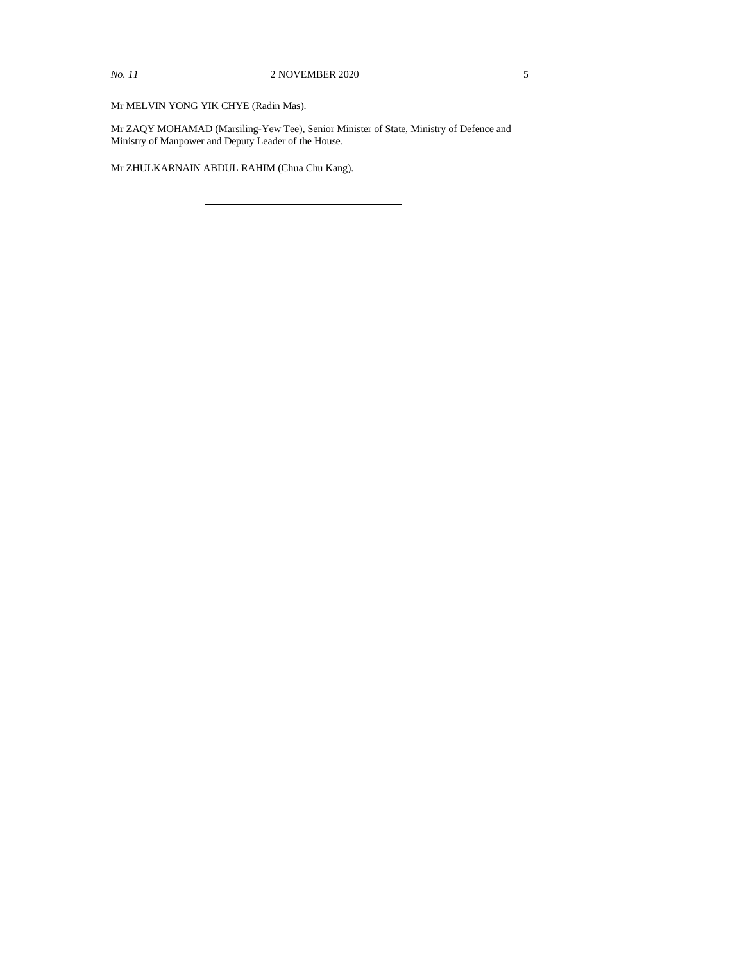Mr MELVIN YONG YIK CHYE (Radin Mas).

Mr ZAQY MOHAMAD (Marsiling-Yew Tee), Senior Minister of State, Ministry of Defence and Ministry of Manpower and Deputy Leader of the House.

Mr ZHULKARNAIN ABDUL RAHIM (Chua Chu Kang).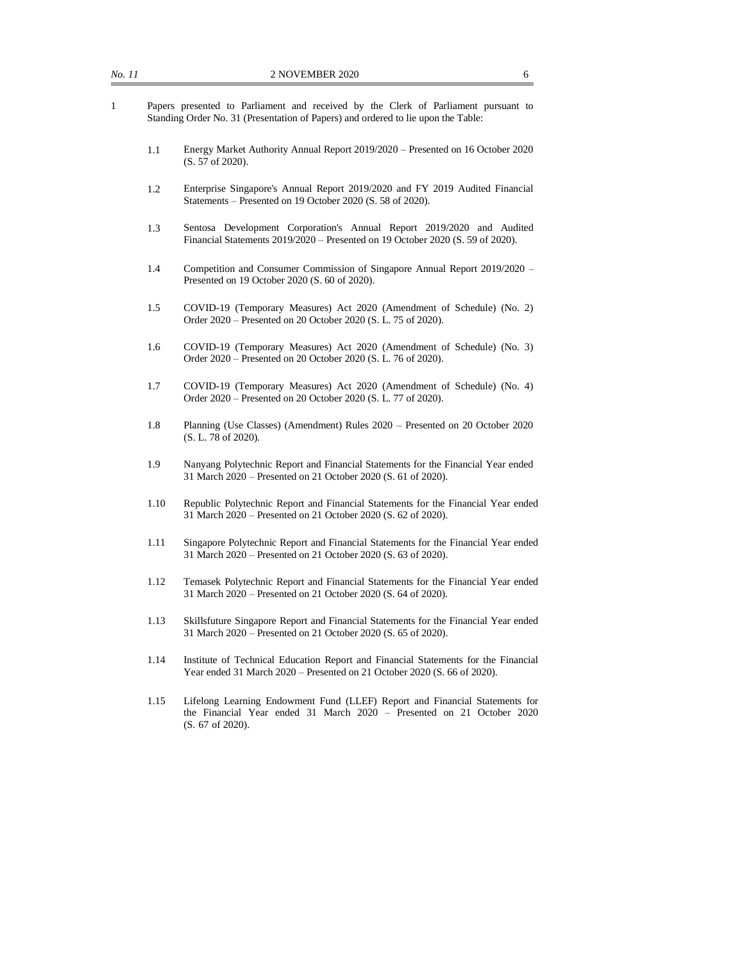- 1 Papers presented to Parliament and received by the Clerk of Parliament pursuant to Standing Order No. 31 (Presentation of Papers) and ordered to lie upon the Table:
	- 1.1 Energy Market Authority Annual Report 2019/2020 Presented on 16 October 2020 (S. 57 of 2020).
	- 1.2 Enterprise Singapore's Annual Report 2019/2020 and FY 2019 Audited Financial Statements – Presented on 19 October 2020 (S. 58 of 2020).
	- 1.3 Sentosa Development Corporation's Annual Report 2019/2020 and Audited Financial Statements 2019/2020 – Presented on 19 October 2020 (S. 59 of 2020).
	- 1.4 Competition and Consumer Commission of Singapore Annual Report 2019/2020 Presented on 19 October 2020 (S. 60 of 2020).
	- 1.5 COVID-19 (Temporary Measures) Act 2020 (Amendment of Schedule) (No. 2) Order 2020 – Presented on 20 October 2020 (S. L. 75 of 2020).
	- 1.6 COVID-19 (Temporary Measures) Act 2020 (Amendment of Schedule) (No. 3) Order 2020 – Presented on 20 October 2020 (S. L. 76 of 2020).
	- 1.7 COVID-19 (Temporary Measures) Act 2020 (Amendment of Schedule) (No. 4) Order 2020 – Presented on 20 October 2020 (S. L. 77 of 2020).
	- 1.8 Planning (Use Classes) (Amendment) Rules 2020 Presented on 20 October 2020 (S. L. 78 of 2020).
	- 1.9 Nanyang Polytechnic Report and Financial Statements for the Financial Year ended 31 March 2020 – Presented on 21 October 2020 (S. 61 of 2020).
	- 1.10 Republic Polytechnic Report and Financial Statements for the Financial Year ended 31 March 2020 – Presented on 21 October 2020 (S. 62 of 2020).
	- 1.11 Singapore Polytechnic Report and Financial Statements for the Financial Year ended 31 March 2020 – Presented on 21 October 2020 (S. 63 of 2020).
	- 1.12 Temasek Polytechnic Report and Financial Statements for the Financial Year ended 31 March 2020 – Presented on 21 October 2020 (S. 64 of 2020).
	- 1.13 Skillsfuture Singapore Report and Financial Statements for the Financial Year ended 31 March 2020 – Presented on 21 October 2020 (S. 65 of 2020).
	- 1.14 Institute of Technical Education Report and Financial Statements for the Financial Year ended 31 March 2020 – Presented on 21 October 2020 (S. 66 of 2020).
	- 1.15 Lifelong Learning Endowment Fund (LLEF) Report and Financial Statements for the Financial Year ended 31 March 2020 – Presented on 21 October 2020 (S. 67 of 2020).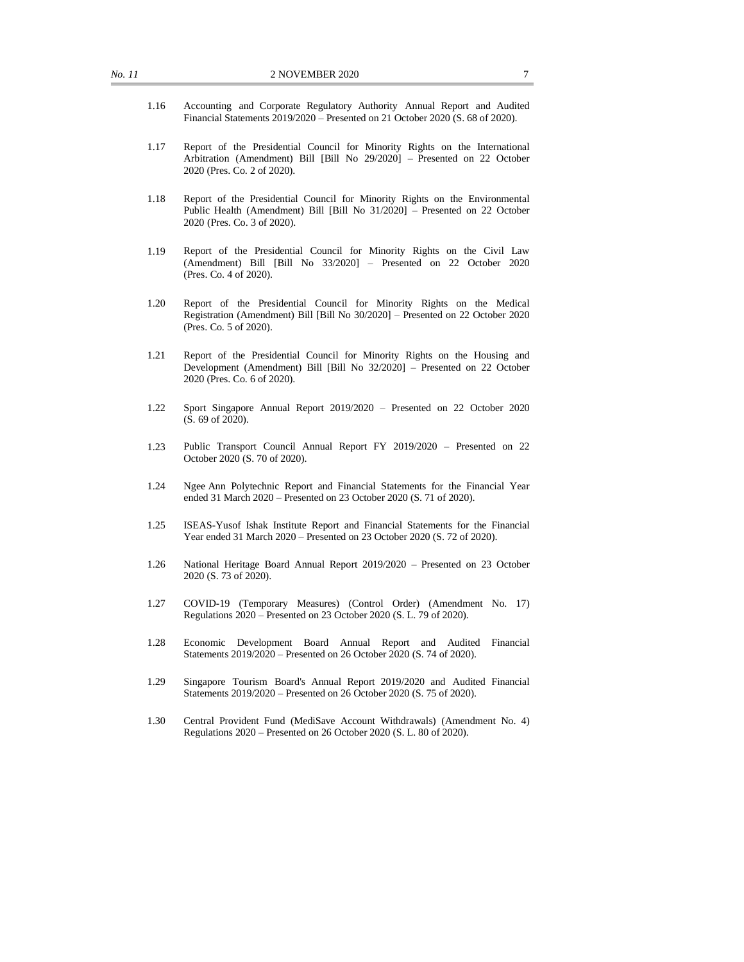- 1.16 Accounting and Corporate Regulatory Authority Annual Report and Audited Financial Statements 2019/2020 – Presented on 21 October 2020 (S. 68 of 2020).
- 1.17 Report of the Presidential Council for Minority Rights on the International Arbitration (Amendment) Bill [Bill No 29/2020] – Presented on 22 October 2020 (Pres. Co. 2 of 2020).
- 1.18 Report of the Presidential Council for Minority Rights on the Environmental Public Health (Amendment) Bill [Bill No 31/2020] – Presented on 22 October 2020 (Pres. Co. 3 of 2020).
- 1.19 Report of the Presidential Council for Minority Rights on the Civil Law (Amendment) Bill [Bill No 33/2020] – Presented on 22 October 2020 (Pres. Co. 4 of 2020).
- 1.20 Report of the Presidential Council for Minority Rights on the Medical Registration (Amendment) Bill [Bill No 30/2020] – Presented on 22 October 2020 (Pres. Co. 5 of 2020).
- 1.21 Report of the Presidential Council for Minority Rights on the Housing and Development (Amendment) Bill [Bill No 32/2020] – Presented on 22 October 2020 (Pres. Co. 6 of 2020).
- 1.22 Sport Singapore Annual Report 2019/2020 Presented on 22 October 2020 (S. 69 of 2020).
- 1.23 Public Transport Council Annual Report FY 2019/2020 Presented on 22 October 2020 (S. 70 of 2020).
- 1.24 Ngee Ann Polytechnic Report and Financial Statements for the Financial Year ended 31 March 2020 – Presented on 23 October 2020 (S. 71 of 2020).
- 1.25 ISEAS-Yusof Ishak Institute Report and Financial Statements for the Financial Year ended 31 March 2020 – Presented on 23 October 2020 (S. 72 of 2020).
- 1.26 National Heritage Board Annual Report 2019/2020 Presented on 23 October 2020 (S. 73 of 2020).
- 1.27 COVID-19 (Temporary Measures) (Control Order) (Amendment No. 17) Regulations 2020 – Presented on 23 October 2020 (S. L. 79 of 2020).
- 1.28 Economic Development Board Annual Report and Audited Financial Statements 2019/2020 – Presented on 26 October 2020 (S. 74 of 2020).
- 1.29 Singapore Tourism Board's Annual Report 2019/2020 and Audited Financial Statements 2019/2020 – Presented on 26 October 2020 (S. 75 of 2020).
- 1.30 Central Provident Fund (MediSave Account Withdrawals) (Amendment No. 4) Regulations 2020 – Presented on 26 October 2020 (S. L. 80 of 2020).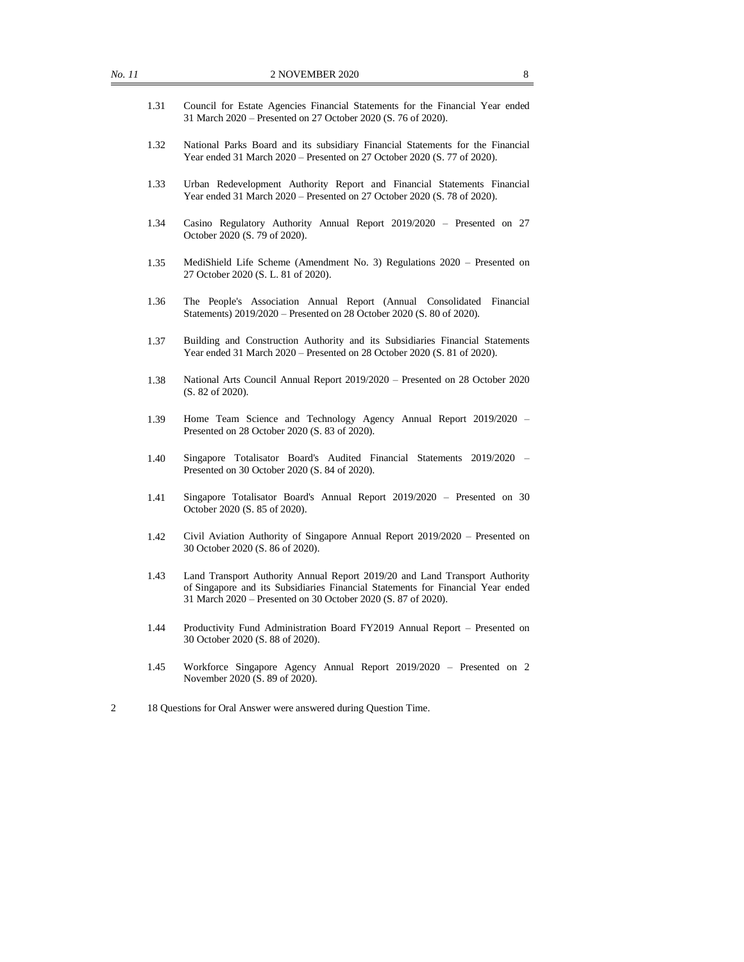- 1.31 Council for Estate Agencies Financial Statements for the Financial Year ended 31 March 2020 – Presented on 27 October 2020 (S. 76 of 2020).
- 1.32 National Parks Board and its subsidiary Financial Statements for the Financial Year ended 31 March 2020 – Presented on 27 October 2020 (S. 77 of 2020).
- 1.33 Urban Redevelopment Authority Report and Financial Statements Financial Year ended 31 March 2020 – Presented on 27 October 2020 (S. 78 of 2020).
- 1.34 Casino Regulatory Authority Annual Report 2019/2020 Presented on 27 October 2020 (S. 79 of 2020).
- 1.35 MediShield Life Scheme (Amendment No. 3) Regulations 2020 Presented on 27 October 2020 (S. L. 81 of 2020).
- 1.36 The People's Association Annual Report (Annual Consolidated Financial Statements) 2019/2020 – Presented on 28 October 2020 (S. 80 of 2020).
- 1.37 Building and Construction Authority and its Subsidiaries Financial Statements Year ended 31 March 2020 – Presented on 28 October 2020 (S. 81 of 2020).
- 1.38 National Arts Council Annual Report 2019/2020 Presented on 28 October 2020 (S. 82 of 2020).
- 1.39 Home Team Science and Technology Agency Annual Report 2019/2020 Presented on 28 October 2020 (S. 83 of 2020).
- 1.40 Singapore Totalisator Board's Audited Financial Statements 2019/2020 Presented on 30 October 2020 (S. 84 of 2020).
- 1.41 Singapore Totalisator Board's Annual Report 2019/2020 Presented on 30 October 2020 (S. 85 of 2020).
- 1.42 Civil Aviation Authority of Singapore Annual Report 2019/2020 Presented on 30 October 2020 (S. 86 of 2020).
- 1.43 Land Transport Authority Annual Report 2019/20 and Land Transport Authority of Singapore and its Subsidiaries Financial Statements for Financial Year ended 31 March 2020 – Presented on 30 October 2020 (S. 87 of 2020).
- 1.44 Productivity Fund Administration Board FY2019 Annual Report Presented on 30 October 2020 (S. 88 of 2020).
- 1.45 Workforce Singapore Agency Annual Report 2019/2020 Presented on 2 November 2020 (S. 89 of 2020).
- 2 18 Questions for Oral Answer were answered during Question Time.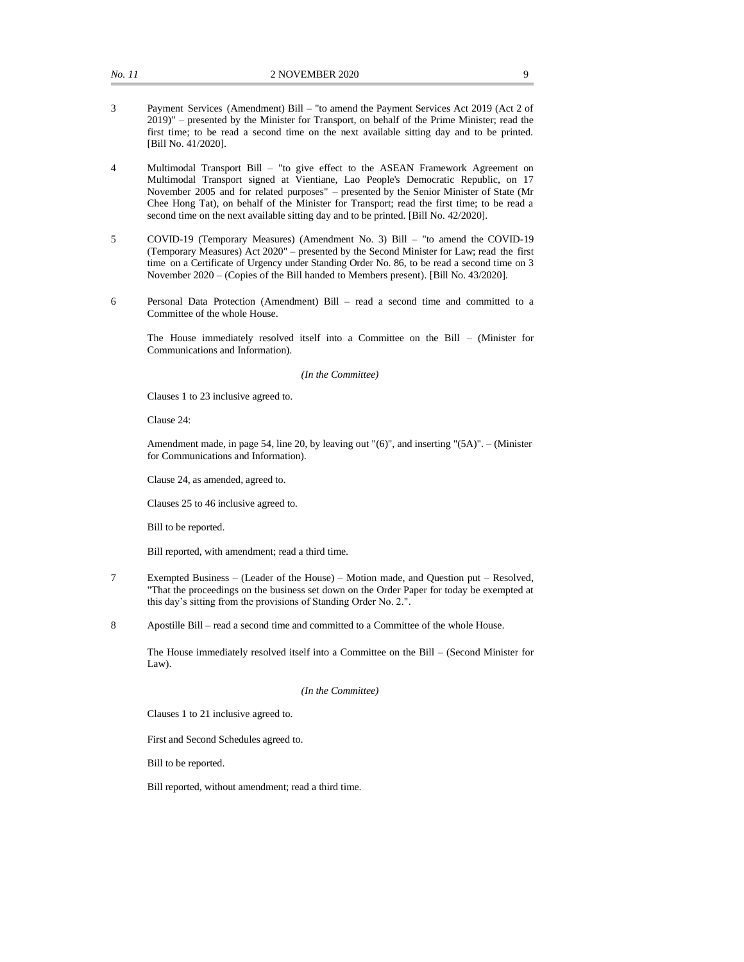- 3 Payment Services (Amendment) Bill "to amend the Payment Services Act 2019 (Act 2 of 2019)" – presented by the Minister for Transport, on behalf of the Prime Minister; read the first time; to be read a second time on the next available sitting day and to be printed. [Bill No. 41/2020].
- 4 Multimodal Transport Bill "to give effect to the ASEAN Framework Agreement on Multimodal Transport signed at Vientiane, Lao People's Democratic Republic, on 17 November 2005 and for related purposes" – presented by the Senior Minister of State (Mr Chee Hong Tat), on behalf of the Minister for Transport; read the first time; to be read a second time on the next available sitting day and to be printed. [Bill No. 42/2020].
- 5 COVID-19 (Temporary Measures) (Amendment No. 3) Bill "to amend the COVID-19 (Temporary Measures) Act 2020" – presented by the Second Minister for Law; read the first time on a Certificate of Urgency under Standing Order No. 86, to be read a second time on 3 November 2020 – (Copies of the Bill handed to Members present). [Bill No. 43/2020].
- 6 Personal Data Protection (Amendment) Bill read a second time and committed to a Committee of the whole House.

The House immediately resolved itself into a Committee on the Bill – (Minister for Communications and Information).

#### *(In the Committee)*

Clauses 1 to 23 inclusive agreed to.

Clause 24:

Amendment made, in page 54, line 20, by leaving out "(6)", and inserting "(5A)". – (Minister for Communications and Information).

Clause 24, as amended, agreed to.

Clauses 25 to 46 inclusive agreed to.

Bill to be reported.

Bill reported, with amendment; read a third time.

- 7 Exempted Business (Leader of the House) Motion made, and Question put Resolved, "That the proceedings on the business set down on the Order Paper for today be exempted at this day's sitting from the provisions of Standing Order No. 2.".
- 8 Apostille Bill read a second time and committed to a Committee of the whole House.

The House immediately resolved itself into a Committee on the Bill – (Second Minister for Law).

#### *(In the Committee)*

Clauses 1 to 21 inclusive agreed to.

First and Second Schedules agreed to.

Bill to be reported.

Bill reported, without amendment; read a third time.